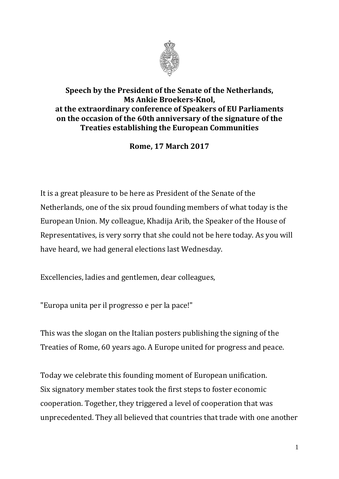

## **Speech by the President of the Senate of the Netherlands, Ms Ankie Broekers-Knol, at the extraordinary conference of Speakers of EU Parliaments on the occasion of the 60th anniversary of the signature of the Treaties establishing the European Communities**

**Rome, 17 March 2017**

It is a great pleasure to be here as President of the Senate of the Netherlands, one of the six proud founding members of what today is the European Union. My colleague, Khadija Arib, the Speaker of the House of Representatives, is very sorry that she could not be here today. As you will have heard, we had general elections last Wednesday.

Excellencies, ladies and gentlemen, dear colleagues,

"Europa unita per il progresso e per la pace!"

This was the slogan on the Italian posters publishing the signing of the Treaties of Rome, 60 years ago. A Europe united for progress and peace.

Today we celebrate this founding moment of European unification. Six signatory member states took the first steps to foster economic cooperation. Together, they triggered a level of cooperation that was unprecedented. They all believed that countries that trade with one another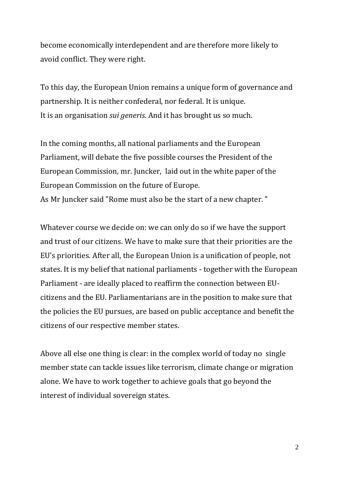become economically interdependent and are therefore more likely to avoid conflict. They were right.

To this day, the European Union remains a unique form of governance and partnership. It is neither confederal, nor federal. It is unique. It is an organisation *sui generis*. And it has brought us so much.

In the coming months, all national parliaments and the European Parliament, will debate the five possible courses the President of the European Commission, mr. Juncker, laid out in the white paper of the European Commission on the future of Europe.

As Mr Juncker said "Rome must also be the start of a new chapter. "

Whatever course we decide on: we can only do so if we have the support and trust of our citizens. We have to make sure that their priorities are the EU's priorities. After all, the European Union is a unification of people, not states. It is my belief that national parliaments - together with the European Parliament - are ideally placed to reaffirm the connection between EUcitizens and the EU. Parliamentarians are in the position to make sure that the policies the EU pursues, are based on public acceptance and benefit the citizens of our respective member states.

Above all else one thing is clear: in the complex world of today no single member state can tackle issues like terrorism, climate change or migration alone. We have to work together to achieve goals that go beyond the interest of individual sovereign states.